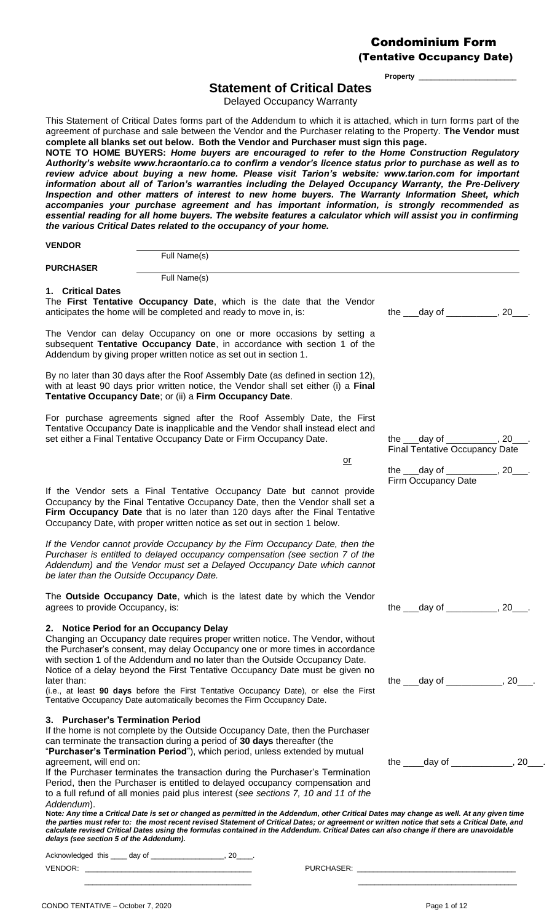# Condominium Form (Tentative Occupancy Date)

**Property** 

## **Statement of Critical Dates**

Delayed Occupancy Warranty

This Statement of Critical Dates forms part of the Addendum to which it is attached, which in turn forms part of the agreement of purchase and sale between the Vendor and the Purchaser relating to the Property. **The Vendor must complete all blanks set out below. Both the Vendor and Purchaser must sign this page.**

**NOTE TO HOME BUYERS:** *Home buyers are encouraged to refer to the Home Construction Regulatory Authority's website www.hcraontario.ca to confirm a vendor's licence status prior to purchase as well as to review advice about buying a new home. Please visit Tarion's website: www.tarion.com for important information about all of Tarion's warranties including the Delayed Occupancy Warranty, the Pre-Delivery Inspection and other matters of interest to new home buyers. The Warranty Information Sheet, which accompanies your purchase agreement and has important information, is strongly recommended as essential reading for all home buyers. The website features a calculator which will assist you in confirming the various Critical Dates related to the occupancy of your home.*

| <b>VENDOR</b>                                                              |                                                                                                                                                                                                                                                                                                                                                                                                                                                                                                    |                                                                                                                                         |
|----------------------------------------------------------------------------|----------------------------------------------------------------------------------------------------------------------------------------------------------------------------------------------------------------------------------------------------------------------------------------------------------------------------------------------------------------------------------------------------------------------------------------------------------------------------------------------------|-----------------------------------------------------------------------------------------------------------------------------------------|
| <b>PURCHASER</b>                                                           | Full Name(s)                                                                                                                                                                                                                                                                                                                                                                                                                                                                                       |                                                                                                                                         |
|                                                                            | Full Name(s)                                                                                                                                                                                                                                                                                                                                                                                                                                                                                       |                                                                                                                                         |
| 1. Critical Dates                                                          | The First Tentative Occupancy Date, which is the date that the Vendor<br>anticipates the home will be completed and ready to move in, is:                                                                                                                                                                                                                                                                                                                                                          | the ____day of ____________, 20                                                                                                         |
|                                                                            | The Vendor can delay Occupancy on one or more occasions by setting a<br>subsequent Tentative Occupancy Date, in accordance with section 1 of the<br>Addendum by giving proper written notice as set out in section 1.                                                                                                                                                                                                                                                                              |                                                                                                                                         |
|                                                                            | By no later than 30 days after the Roof Assembly Date (as defined in section 12),<br>with at least 90 days prior written notice, the Vendor shall set either (i) a Final<br>Tentative Occupancy Date; or (ii) a Firm Occupancy Date.                                                                                                                                                                                                                                                               |                                                                                                                                         |
|                                                                            | For purchase agreements signed after the Roof Assembly Date, the First<br>Tentative Occupancy Date is inapplicable and the Vendor shall instead elect and<br>set either a Final Tentative Occupancy Date or Firm Occupancy Date.<br>$\overline{\mathsf{a}}$<br>If the Vendor sets a Final Tentative Occupancy Date but cannot provide<br>Occupancy by the Final Tentative Occupancy Date, then the Vendor shall set a                                                                              | the ____day of ____________, 20<br><b>Final Tentative Occupancy Date</b><br>the ____day of ____________, 20____.<br>Firm Occupancy Date |
| be later than the Outside Occupancy Date.                                  | Firm Occupancy Date that is no later than 120 days after the Final Tentative<br>Occupancy Date, with proper written notice as set out in section 1 below.<br>If the Vendor cannot provide Occupancy by the Firm Occupancy Date, then the<br>Purchaser is entitled to delayed occupancy compensation (see section 7 of the<br>Addendum) and the Vendor must set a Delayed Occupancy Date which cannot                                                                                               |                                                                                                                                         |
| agrees to provide Occupancy, is:                                           | The Outside Occupancy Date, which is the latest date by which the Vendor                                                                                                                                                                                                                                                                                                                                                                                                                           | the $\_\_\$ day of $\_\_\_\_\_\_\_\_\$<br>, 20                                                                                          |
| 2. Notice Period for an Occupancy Delay<br>later than:                     | Changing an Occupancy date requires proper written notice. The Vendor, without<br>the Purchaser's consent, may delay Occupancy one or more times in accordance<br>with section 1 of the Addendum and no later than the Outside Occupancy Date.<br>Notice of a delay beyond the First Tentative Occupancy Date must be given no<br>(i.e., at least 90 days before the First Tentative Occupancy Date), or else the First<br>Tentative Occupancy Date automatically becomes the Firm Occupancy Date. | the $\_\$ {day \ of $\_\_\_\_\_$ , 20 $\_\_\_\$                                                                                         |
| 3. Purchaser's Termination Period<br>agreement, will end on:<br>Addendum). | If the home is not complete by the Outside Occupancy Date, then the Purchaser<br>can terminate the transaction during a period of 30 days thereafter (the<br>"Purchaser's Termination Period"), which period, unless extended by mutual<br>If the Purchaser terminates the transaction during the Purchaser's Termination<br>Period, then the Purchaser is entitled to delayed occupancy compensation and<br>to a full refund of all monies paid plus interest (see sections 7, 10 and 11 of the   | the _____day of ______________, 20____.                                                                                                 |
| delays (see section 5 of the Addendum).                                    | Note: Any time a Critical Date is set or changed as permitted in the Addendum, other Critical Dates may change as well. At any given time<br>the parties must refer to: the most recent revised Statement of Critical Dates; or agreement or written notice that sets a Critical Date, and<br>calculate revised Critical Dates using the formulas contained in the Addendum. Critical Dates can also change if there are unavoidable                                                               |                                                                                                                                         |
|                                                                            | Acknowledged this ____ day of _____________________, 20____.                                                                                                                                                                                                                                                                                                                                                                                                                                       |                                                                                                                                         |
|                                                                            |                                                                                                                                                                                                                                                                                                                                                                                                                                                                                                    |                                                                                                                                         |

CONDO TENTATIVE – October 7, 2020 Page 1 of 12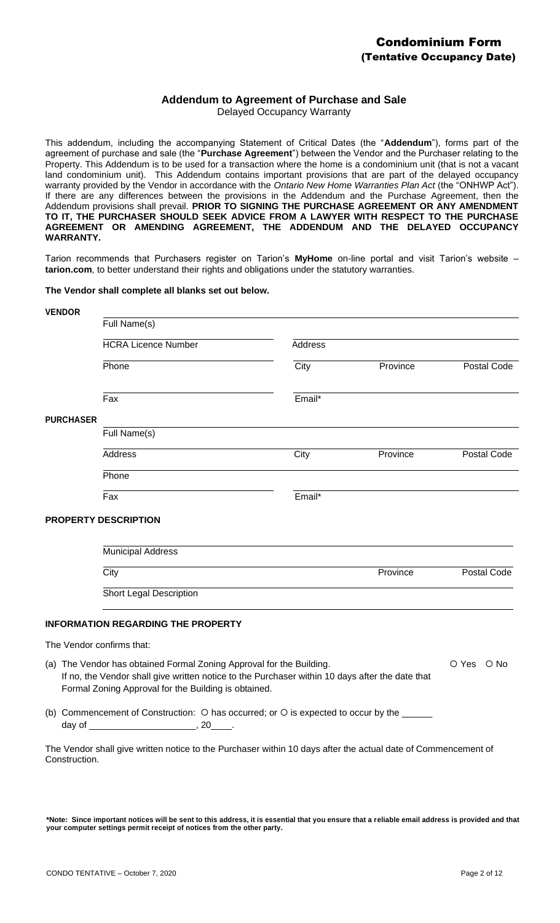# **Addendum to Agreement of Purchase and Sale**

Delayed Occupancy Warranty

This addendum, including the accompanying Statement of Critical Dates (the "**Addendum**"), forms part of the agreement of purchase and sale (the "**Purchase Agreement**") between the Vendor and the Purchaser relating to the Property. This Addendum is to be used for a transaction where the home is a condominium unit (that is not a vacant land condominium unit). This Addendum contains important provisions that are part of the delayed occupancy warranty provided by the Vendor in accordance with the *Ontario New Home Warranties Plan Act* (the "ONHWP Act"). If there are any differences between the provisions in the Addendum and the Purchase Agreement, then the Addendum provisions shall prevail. **PRIOR TO SIGNING THE PURCHASE AGREEMENT OR ANY AMENDMENT TO IT, THE PURCHASER SHOULD SEEK ADVICE FROM A LAWYER WITH RESPECT TO THE PURCHASE AGREEMENT OR AMENDING AGREEMENT, THE ADDENDUM AND THE DELAYED OCCUPANCY WARRANTY.**

Tarion recommends that Purchasers register on Tarion's **MyHome** on-line portal and visit Tarion's website – **tarion.com**, to better understand their rights and obligations under the statutory warranties.

#### **The Vendor shall complete all blanks set out below.**

| <b>VENDOR</b>                                                                                                                                                                                                                                 |                                                                                                               |  |         |          |             |  |
|-----------------------------------------------------------------------------------------------------------------------------------------------------------------------------------------------------------------------------------------------|---------------------------------------------------------------------------------------------------------------|--|---------|----------|-------------|--|
|                                                                                                                                                                                                                                               | Full Name(s)                                                                                                  |  |         |          |             |  |
|                                                                                                                                                                                                                                               | <b>HCRA Licence Number</b>                                                                                    |  | Address |          |             |  |
|                                                                                                                                                                                                                                               | Phone                                                                                                         |  | City    | Province | Postal Code |  |
|                                                                                                                                                                                                                                               | Fax                                                                                                           |  | Email*  |          |             |  |
| <b>PURCHASER</b>                                                                                                                                                                                                                              |                                                                                                               |  |         |          |             |  |
|                                                                                                                                                                                                                                               | Full Name(s)                                                                                                  |  |         |          |             |  |
|                                                                                                                                                                                                                                               | <b>Address</b>                                                                                                |  | City    | Province | Postal Code |  |
|                                                                                                                                                                                                                                               | Phone                                                                                                         |  |         |          |             |  |
|                                                                                                                                                                                                                                               | Fax                                                                                                           |  | Email*  |          |             |  |
|                                                                                                                                                                                                                                               | <b>PROPERTY DESCRIPTION</b>                                                                                   |  |         |          |             |  |
|                                                                                                                                                                                                                                               |                                                                                                               |  |         |          |             |  |
|                                                                                                                                                                                                                                               | <b>Municipal Address</b>                                                                                      |  |         |          |             |  |
|                                                                                                                                                                                                                                               | City                                                                                                          |  |         | Province | Postal Code |  |
|                                                                                                                                                                                                                                               | <b>Short Legal Description</b>                                                                                |  |         |          |             |  |
|                                                                                                                                                                                                                                               | <b>INFORMATION REGARDING THE PROPERTY</b>                                                                     |  |         |          |             |  |
|                                                                                                                                                                                                                                               | The Vendor confirms that:                                                                                     |  |         |          |             |  |
| (a) The Vendor has obtained Formal Zoning Approval for the Building.<br>O Yes O No<br>If no, the Vendor shall give written notice to the Purchaser within 10 days after the date that<br>Formal Zoning Approval for the Building is obtained. |                                                                                                               |  |         |          |             |  |
|                                                                                                                                                                                                                                               | (b) Commencement of Construction: O has occurred; or O is expected to occur by the                            |  |         |          |             |  |
| Construction.                                                                                                                                                                                                                                 | The Vendor shall give written notice to the Purchaser within 10 days after the actual date of Commencement of |  |         |          |             |  |
|                                                                                                                                                                                                                                               |                                                                                                               |  |         |          |             |  |

**\*Note: Since important notices will be sent to this address, it is essential that you ensure that a reliable email address is provided and that your computer settings permit receipt of notices from the other party.**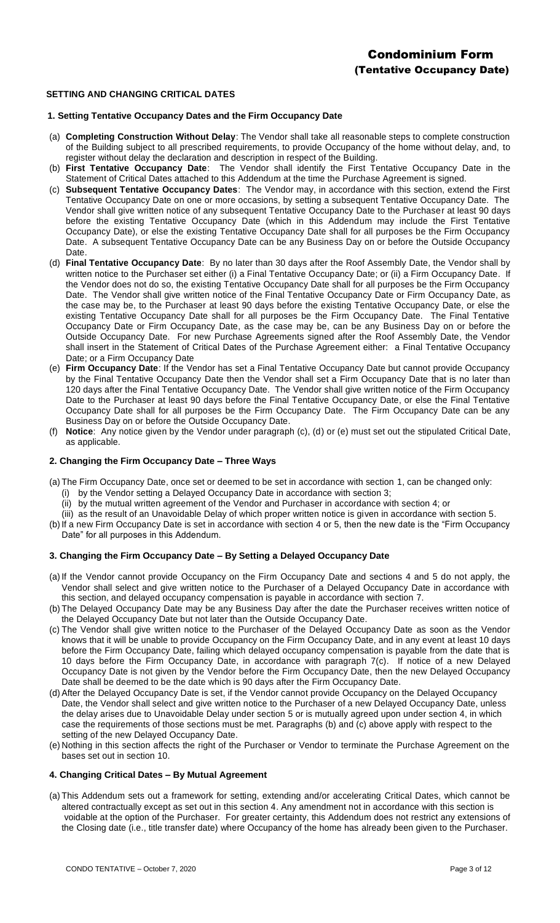## **SETTING AND CHANGING CRITICAL DATES**

#### **1. Setting Tentative Occupancy Dates and the Firm Occupancy Date**

- (a) **Completing Construction Without Delay**: The Vendor shall take all reasonable steps to complete construction of the Building subject to all prescribed requirements, to provide Occupancy of the home without delay, and, to register without delay the declaration and description in respect of the Building.
- (b) **First Tentative Occupancy Date**: The Vendor shall identify the First Tentative Occupancy Date in the Statement of Critical Dates attached to this Addendum at the time the Purchase Agreement is signed.
- (c) **Subsequent Tentative Occupancy Dates**: The Vendor may, in accordance with this section, extend the First Tentative Occupancy Date on one or more occasions, by setting a subsequent Tentative Occupancy Date. The Vendor shall give written notice of any subsequent Tentative Occupancy Date to the Purchaser at least 90 days before the existing Tentative Occupancy Date (which in this Addendum may include the First Tentative Occupancy Date), or else the existing Tentative Occupancy Date shall for all purposes be the Firm Occupancy Date. A subsequent Tentative Occupancy Date can be any Business Day on or before the Outside Occupancy Date.
- (d) **Final Tentative Occupancy Date**: By no later than 30 days after the Roof Assembly Date, the Vendor shall by written notice to the Purchaser set either (i) a Final Tentative Occupancy Date; or (ii) a Firm Occupancy Date. If the Vendor does not do so, the existing Tentative Occupancy Date shall for all purposes be the Firm Occupancy Date. The Vendor shall give written notice of the Final Tentative Occupancy Date or Firm Occupancy Date, as the case may be, to the Purchaser at least 90 days before the existing Tentative Occupancy Date, or else the existing Tentative Occupancy Date shall for all purposes be the Firm Occupancy Date. The Final Tentative Occupancy Date or Firm Occupancy Date, as the case may be, can be any Business Day on or before the Outside Occupancy Date. For new Purchase Agreements signed after the Roof Assembly Date, the Vendor shall insert in the Statement of Critical Dates of the Purchase Agreement either: a Final Tentative Occupancy Date; or a Firm Occupancy Date
- (e) **Firm Occupancy Date**: If the Vendor has set a Final Tentative Occupancy Date but cannot provide Occupancy by the Final Tentative Occupancy Date then the Vendor shall set a Firm Occupancy Date that is no later than 120 days after the Final Tentative Occupancy Date. The Vendor shall give written notice of the Firm Occupancy Date to the Purchaser at least 90 days before the Final Tentative Occupancy Date, or else the Final Tentative Occupancy Date shall for all purposes be the Firm Occupancy Date. The Firm Occupancy Date can be any Business Day on or before the Outside Occupancy Date.
- (f) **Notice**: Any notice given by the Vendor under paragraph (c), (d) or (e) must set out the stipulated Critical Date, as applicable.

#### **2. Changing the Firm Occupancy Date – Three Ways**

- (a) The Firm Occupancy Date, once set or deemed to be set in accordance with section 1, can be changed only:
	- (i) by the Vendor setting a Delayed Occupancy Date in accordance with section 3;
	- (ii) by the mutual written agreement of the Vendor and Purchaser in accordance with section 4; or
	- (iii) as the result of an Unavoidable Delay of which proper written notice is given in accordance with section 5.
- (b) If a new Firm Occupancy Date is set in accordance with section 4 or 5, then the new date is the "Firm Occupancy Date" for all purposes in this Addendum.

#### **3. Changing the Firm Occupancy Date – By Setting a Delayed Occupancy Date**

- (a) If the Vendor cannot provide Occupancy on the Firm Occupancy Date and sections 4 and 5 do not apply, the Vendor shall select and give written notice to the Purchaser of a Delayed Occupancy Date in accordance with this section, and delayed occupancy compensation is payable in accordance with section 7.
- (b) The Delayed Occupancy Date may be any Business Day after the date the Purchaser receives written notice of the Delayed Occupancy Date but not later than the Outside Occupancy Date.
- (c) The Vendor shall give written notice to the Purchaser of the Delayed Occupancy Date as soon as the Vendor knows that it will be unable to provide Occupancy on the Firm Occupancy Date, and in any event at least 10 days before the Firm Occupancy Date, failing which delayed occupancy compensation is payable from the date that is 10 days before the Firm Occupancy Date, in accordance with paragraph 7(c). If notice of a new Delayed Occupancy Date is not given by the Vendor before the Firm Occupancy Date, then the new Delayed Occupancy Date shall be deemed to be the date which is 90 days after the Firm Occupancy Date.
- (d) After the Delayed Occupancy Date is set, if the Vendor cannot provide Occupancy on the Delayed Occupancy Date, the Vendor shall select and give written notice to the Purchaser of a new Delayed Occupancy Date, unless the delay arises due to Unavoidable Delay under section 5 or is mutually agreed upon under section 4, in which case the requirements of those sections must be met. Paragraphs (b) and (c) above apply with respect to the setting of the new Delayed Occupancy Date.
- (e) Nothing in this section affects the right of the Purchaser or Vendor to terminate the Purchase Agreement on the bases set out in section 10.

#### **4. Changing Critical Dates – By Mutual Agreement**

(a) This Addendum sets out a framework for setting, extending and/or accelerating Critical Dates, which cannot be altered contractually except as set out in this section 4. Any amendment not in accordance with this section is voidable at the option of the Purchaser. For greater certainty, this Addendum does not restrict any extensions of the Closing date (i.e., title transfer date) where Occupancy of the home has already been given to the Purchaser.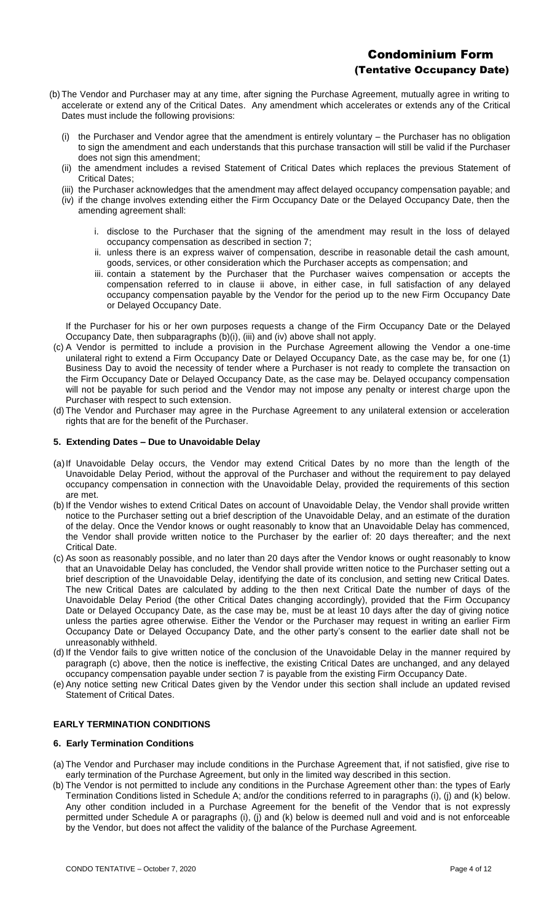- (b) The Vendor and Purchaser may at any time, after signing the Purchase Agreement, mutually agree in writing to accelerate or extend any of the Critical Dates. Any amendment which accelerates or extends any of the Critical Dates must include the following provisions:
	- (i) the Purchaser and Vendor agree that the amendment is entirely voluntary the Purchaser has no obligation to sign the amendment and each understands that this purchase transaction will still be valid if the Purchaser does not sign this amendment;
	- (ii) the amendment includes a revised Statement of Critical Dates which replaces the previous Statement of Critical Dates;
	- (iii) the Purchaser acknowledges that the amendment may affect delayed occupancy compensation payable; and
	- (iv) if the change involves extending either the Firm Occupancy Date or the Delayed Occupancy Date, then the amending agreement shall:
		- i. disclose to the Purchaser that the signing of the amendment may result in the loss of delayed occupancy compensation as described in section 7;
		- ii. unless there is an express waiver of compensation, describe in reasonable detail the cash amount, goods, services, or other consideration which the Purchaser accepts as compensation; and
		- iii. contain a statement by the Purchaser that the Purchaser waives compensation or accepts the compensation referred to in clause ii above, in either case, in full satisfaction of any delayed occupancy compensation payable by the Vendor for the period up to the new Firm Occupancy Date or Delayed Occupancy Date.

If the Purchaser for his or her own purposes requests a change of the Firm Occupancy Date or the Delayed Occupancy Date, then subparagraphs (b)(i), (iii) and (iv) above shall not apply.

- (c) A Vendor is permitted to include a provision in the Purchase Agreement allowing the Vendor a one-time unilateral right to extend a Firm Occupancy Date or Delayed Occupancy Date, as the case may be, for one (1) Business Day to avoid the necessity of tender where a Purchaser is not ready to complete the transaction on the Firm Occupancy Date or Delayed Occupancy Date, as the case may be. Delayed occupancy compensation will not be payable for such period and the Vendor may not impose any penalty or interest charge upon the Purchaser with respect to such extension.
- (d) The Vendor and Purchaser may agree in the Purchase Agreement to any unilateral extension or acceleration rights that are for the benefit of the Purchaser.

## **5. Extending Dates – Due to Unavoidable Delay**

- (a)If Unavoidable Delay occurs, the Vendor may extend Critical Dates by no more than the length of the Unavoidable Delay Period, without the approval of the Purchaser and without the requirement to pay delayed occupancy compensation in connection with the Unavoidable Delay, provided the requirements of this section are met.
- (b) If the Vendor wishes to extend Critical Dates on account of Unavoidable Delay, the Vendor shall provide written notice to the Purchaser setting out a brief description of the Unavoidable Delay, and an estimate of the duration of the delay. Once the Vendor knows or ought reasonably to know that an Unavoidable Delay has commenced, the Vendor shall provide written notice to the Purchaser by the earlier of: 20 days thereafter; and the next Critical Date.
- (c) As soon as reasonably possible, and no later than 20 days after the Vendor knows or ought reasonably to know that an Unavoidable Delay has concluded, the Vendor shall provide written notice to the Purchaser setting out a brief description of the Unavoidable Delay, identifying the date of its conclusion, and setting new Critical Dates. The new Critical Dates are calculated by adding to the then next Critical Date the number of days of the Unavoidable Delay Period (the other Critical Dates changing accordingly), provided that the Firm Occupancy Date or Delayed Occupancy Date, as the case may be, must be at least 10 days after the day of giving notice unless the parties agree otherwise. Either the Vendor or the Purchaser may request in writing an earlier Firm Occupancy Date or Delayed Occupancy Date, and the other party's consent to the earlier date shall not be unreasonably withheld.
- (d) If the Vendor fails to give written notice of the conclusion of the Unavoidable Delay in the manner required by paragraph (c) above, then the notice is ineffective, the existing Critical Dates are unchanged, and any delayed occupancy compensation payable under section 7 is payable from the existing Firm Occupancy Date.
- (e) Any notice setting new Critical Dates given by the Vendor under this section shall include an updated revised Statement of Critical Dates.

## **EARLY TERMINATION CONDITIONS**

#### **6. Early Termination Conditions**

- (a) The Vendor and Purchaser may include conditions in the Purchase Agreement that, if not satisfied, give rise to early termination of the Purchase Agreement, but only in the limited way described in this section.
- (b) The Vendor is not permitted to include any conditions in the Purchase Agreement other than: the types of Early Termination Conditions listed in Schedule A; and/or the conditions referred to in paragraphs (i), (j) and (k) below. Any other condition included in a Purchase Agreement for the benefit of the Vendor that is not expressly permitted under Schedule A or paragraphs (i), (j) and (k) below is deemed null and void and is not enforceable by the Vendor, but does not affect the validity of the balance of the Purchase Agreement.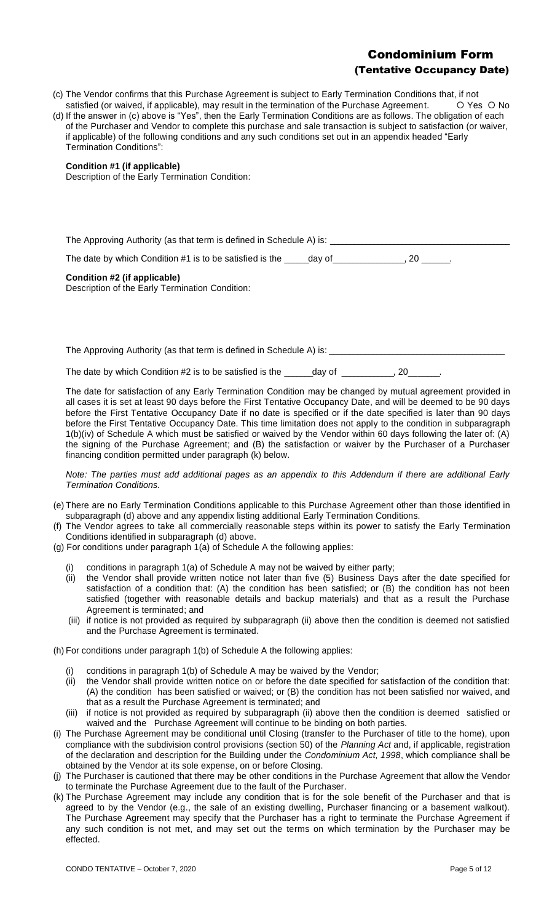# Condominium Form (Tentative Occupancy Date)

(c) The Vendor confirms that this Purchase Agreement is subject to Early Termination Conditions that, if not satisfied (or waived, if applicable), may result in the termination of the Purchase Agreement.  $\bigcirc$  Yes  $\bigcirc$  No

(d) If the answer in (c) above is "Yes", then the Early Termination Conditions are as follows. The obligation of each of the Purchaser and Vendor to complete this purchase and sale transaction is subject to satisfaction (or waiver, if applicable) of the following conditions and any such conditions set out in an appendix headed "Early Termination Conditions":

#### **Condition #1 (if applicable)**

Description of the Early Termination Condition:

The Approving Authority (as that term is defined in Schedule A) is: \_\_\_\_\_\_\_\_\_\_\_\_

The date by which Condition #1 is to be satisfied is the \_\_\_\_\_day of \_\_\_\_\_\_\_\_\_\_\_\_\_, 20 \_\_

#### **Condition #2 (if applicable)**

Description of the Early Termination Condition:

The Approving Authority (as that term is defined in Schedule A) is: \_\_\_\_\_\_\_\_\_\_\_\_\_\_\_\_\_\_\_\_\_\_\_\_\_\_\_\_\_\_\_\_\_\_\_\_\_\_\_\_\_\_\_\_

The date by which Condition #2 is to be satisfied is the \_\_\_\_\_\_day of \_\_\_\_\_\_\_\_\_\_, 20\_\_

The date for satisfaction of any Early Termination Condition may be changed by mutual agreement provided in all cases it is set at least 90 days before the First Tentative Occupancy Date, and will be deemed to be 90 days before the First Tentative Occupancy Date if no date is specified or if the date specified is later than 90 days before the First Tentative Occupancy Date. This time limitation does not apply to the condition in subparagraph 1(b)(iv) of Schedule A which must be satisfied or waived by the Vendor within 60 days following the later of: (A) the signing of the Purchase Agreement; and (B) the satisfaction or waiver by the Purchaser of a Purchaser financing condition permitted under paragraph (k) below.

*Note: The parties must add additional pages as an appendix to this Addendum if there are additional Early Termination Conditions.*

- (e) There are no Early Termination Conditions applicable to this Purchase Agreement other than those identified in subparagraph (d) above and any appendix listing additional Early Termination Conditions.
- The Vendor agrees to take all commercially reasonable steps within its power to satisfy the Early Termination Conditions identified in subparagraph (d) above.
- (g) For conditions under paragraph 1(a) of Schedule A the following applies:
	- conditions in paragraph 1(a) of Schedule A may not be waived by either party;
	- (ii) the Vendor shall provide written notice not later than five (5) Business Days after the date specified for satisfaction of a condition that: (A) the condition has been satisfied; or (B) the condition has not been satisfied (together with reasonable details and backup materials) and that as a result the Purchase Agreement is terminated; and
	- (iii) if notice is not provided as required by subparagraph (ii) above then the condition is deemed not satisfied and the Purchase Agreement is terminated.
- (h) For conditions under paragraph 1(b) of Schedule A the following applies:
	- conditions in paragraph 1(b) of Schedule A may be waived by the Vendor;
	- (ii) the Vendor shall provide written notice on or before the date specified for satisfaction of the condition that: (A) the condition has been satisfied or waived; or (B) the condition has not been satisfied nor waived, and that as a result the Purchase Agreement is terminated; and
	- (iii) if notice is not provided as required by subparagraph (ii) above then the condition is deemed satisfied or waived and the Purchase Agreement will continue to be binding on both parties.
- (i) The Purchase Agreement may be conditional until Closing (transfer to the Purchaser of title to the home), upon compliance with the subdivision control provisions (section 50) of the *Planning Act* and, if applicable, registration of the declaration and description for the Building under the *Condominium Act, 1998*, which compliance shall be obtained by the Vendor at its sole expense, on or before Closing.
- (j) The Purchaser is cautioned that there may be other conditions in the Purchase Agreement that allow the Vendor to terminate the Purchase Agreement due to the fault of the Purchaser.
- (k) The Purchase Agreement may include any condition that is for the sole benefit of the Purchaser and that is agreed to by the Vendor (e.g., the sale of an existing dwelling, Purchaser financing or a basement walkout). The Purchase Agreement may specify that the Purchaser has a right to terminate the Purchase Agreement if any such condition is not met, and may set out the terms on which termination by the Purchaser may be effected.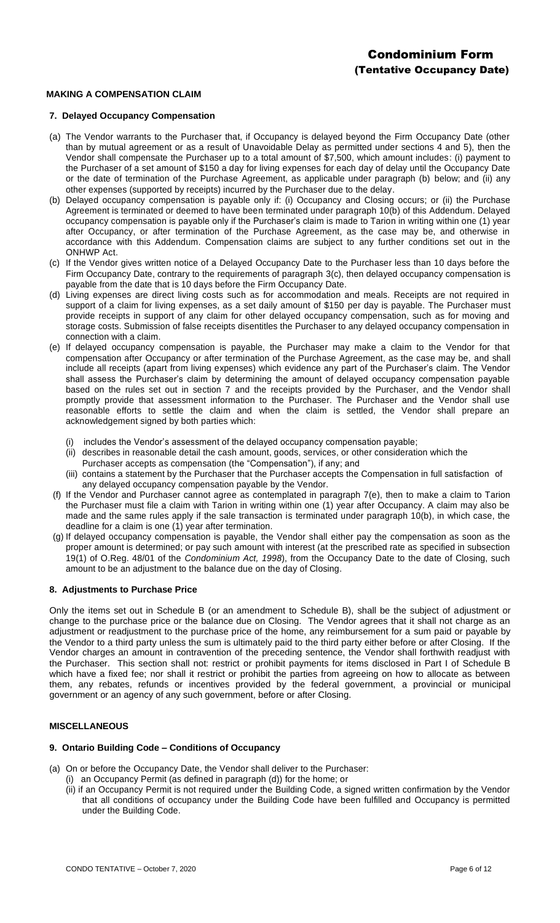#### **MAKING A COMPENSATION CLAIM**

#### **7. Delayed Occupancy Compensation**

- (a) The Vendor warrants to the Purchaser that, if Occupancy is delayed beyond the Firm Occupancy Date (other than by mutual agreement or as a result of Unavoidable Delay as permitted under sections 4 and 5), then the Vendor shall compensate the Purchaser up to a total amount of \$7,500, which amount includes: (i) payment to the Purchaser of a set amount of \$150 a day for living expenses for each day of delay until the Occupancy Date or the date of termination of the Purchase Agreement, as applicable under paragraph (b) below; and (ii) any other expenses (supported by receipts) incurred by the Purchaser due to the delay.
- (b) Delayed occupancy compensation is payable only if: (i) Occupancy and Closing occurs; or (ii) the Purchase Agreement is terminated or deemed to have been terminated under paragraph 10(b) of this Addendum. Delayed occupancy compensation is payable only if the Purchaser's claim is made to Tarion in writing within one (1) year after Occupancy, or after termination of the Purchase Agreement, as the case may be, and otherwise in accordance with this Addendum. Compensation claims are subject to any further conditions set out in the ONHWP Act.
- (c) If the Vendor gives written notice of a Delayed Occupancy Date to the Purchaser less than 10 days before the Firm Occupancy Date, contrary to the requirements of paragraph 3(c), then delayed occupancy compensation is payable from the date that is 10 days before the Firm Occupancy Date.
- (d) Living expenses are direct living costs such as for accommodation and meals. Receipts are not required in support of a claim for living expenses, as a set daily amount of \$150 per day is payable. The Purchaser must provide receipts in support of any claim for other delayed occupancy compensation, such as for moving and storage costs. Submission of false receipts disentitles the Purchaser to any delayed occupancy compensation in connection with a claim.
- (e) If delayed occupancy compensation is payable, the Purchaser may make a claim to the Vendor for that compensation after Occupancy or after termination of the Purchase Agreement, as the case may be, and shall include all receipts (apart from living expenses) which evidence any part of the Purchaser's claim. The Vendor shall assess the Purchaser's claim by determining the amount of delayed occupancy compensation payable based on the rules set out in section 7 and the receipts provided by the Purchaser, and the Vendor shall promptly provide that assessment information to the Purchaser. The Purchaser and the Vendor shall use reasonable efforts to settle the claim and when the claim is settled, the Vendor shall prepare an acknowledgement signed by both parties which:
	- includes the Vendor's assessment of the delayed occupancy compensation payable;
	- (ii) describes in reasonable detail the cash amount, goods, services, or other consideration which the
	- Purchaser accepts as compensation (the "Compensation"), if any; and (iii) contains a statement by the Purchaser that the Purchaser accepts the Compensation in full satisfaction of any delayed occupancy compensation payable by the Vendor.
- (f) If the Vendor and Purchaser cannot agree as contemplated in paragraph 7(e), then to make a claim to Tarion the Purchaser must file a claim with Tarion in writing within one (1) year after Occupancy. A claim may also be made and the same rules apply if the sale transaction is terminated under paragraph 10(b), in which case, the deadline for a claim is one (1) year after termination.
- (g) If delayed occupancy compensation is payable, the Vendor shall either pay the compensation as soon as the proper amount is determined; or pay such amount with interest (at the prescribed rate as specified in subsection 19(1) of O.Reg. 48/01 of the *Condominium Act, 1998*), from the Occupancy Date to the date of Closing, such amount to be an adjustment to the balance due on the day of Closing.

#### **8. Adjustments to Purchase Price**

Only the items set out in Schedule B (or an amendment to Schedule B), shall be the subject of adjustment or change to the purchase price or the balance due on Closing. The Vendor agrees that it shall not charge as an adjustment or readjustment to the purchase price of the home, any reimbursement for a sum paid or payable by the Vendor to a third party unless the sum is ultimately paid to the third party either before or after Closing. If the Vendor charges an amount in contravention of the preceding sentence, the Vendor shall forthwith readjust with the Purchaser. This section shall not: restrict or prohibit payments for items disclosed in Part I of Schedule B which have a fixed fee; nor shall it restrict or prohibit the parties from agreeing on how to allocate as between them, any rebates, refunds or incentives provided by the federal government, a provincial or municipal government or an agency of any such government, before or after Closing.

## **MISCELLANEOUS**

#### **9. Ontario Building Code – Conditions of Occupancy**

- (a) On or before the Occupancy Date, the Vendor shall deliver to the Purchaser:
	- (i) an Occupancy Permit (as defined in paragraph (d)) for the home; or
		- (ii) if an Occupancy Permit is not required under the Building Code, a signed written confirmation by the Vendor that all conditions of occupancy under the Building Code have been fulfilled and Occupancy is permitted under the Building Code.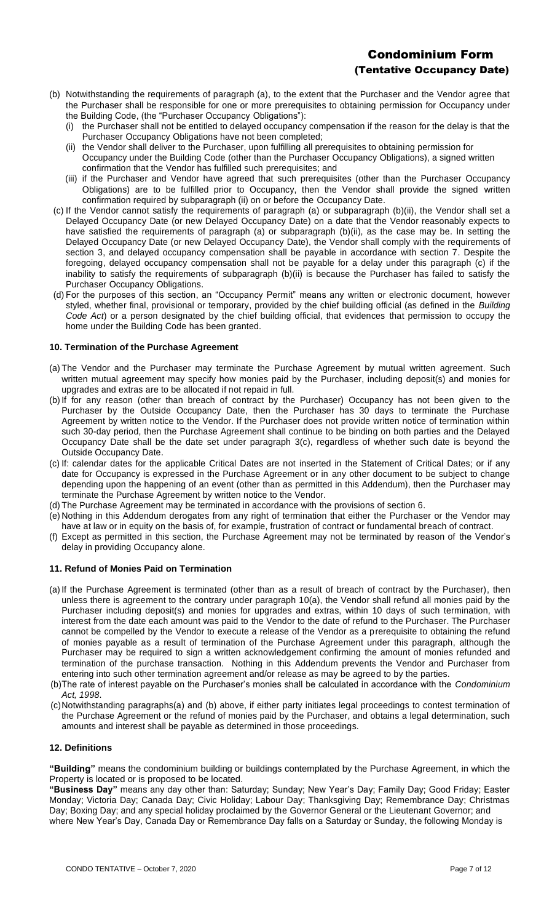- (b) Notwithstanding the requirements of paragraph (a), to the extent that the Purchaser and the Vendor agree that the Purchaser shall be responsible for one or more prerequisites to obtaining permission for Occupancy under the Building Code, (the "Purchaser Occupancy Obligations"):
	- (i) the Purchaser shall not be entitled to delayed occupancy compensation if the reason for the delay is that the Purchaser Occupancy Obligations have not been completed;
	- (ii) the Vendor shall deliver to the Purchaser, upon fulfilling all prerequisites to obtaining permission for Occupancy under the Building Code (other than the Purchaser Occupancy Obligations), a signed written confirmation that the Vendor has fulfilled such prerequisites; and
	- (iii) if the Purchaser and Vendor have agreed that such prerequisites (other than the Purchaser Occupancy Obligations) are to be fulfilled prior to Occupancy, then the Vendor shall provide the signed written confirmation required by subparagraph (ii) on or before the Occupancy Date.
- (c) If the Vendor cannot satisfy the requirements of paragraph (a) or subparagraph (b)(ii), the Vendor shall set a Delayed Occupancy Date (or new Delayed Occupancy Date) on a date that the Vendor reasonably expects to have satisfied the requirements of paragraph (a) or subparagraph (b)(ii), as the case may be. In setting the Delayed Occupancy Date (or new Delayed Occupancy Date), the Vendor shall comply with the requirements of section 3, and delayed occupancy compensation shall be payable in accordance with section 7. Despite the foregoing, delayed occupancy compensation shall not be payable for a delay under this paragraph (c) if the inability to satisfy the requirements of subparagraph (b)(ii) is because the Purchaser has failed to satisfy the Purchaser Occupancy Obligations.
- (d) For the purposes of this section, an "Occupancy Permit" means any written or electronic document, however styled, whether final, provisional or temporary, provided by the chief building official (as defined in the *Building Code Act*) or a person designated by the chief building official, that evidences that permission to occupy the home under the Building Code has been granted.

## **10. Termination of the Purchase Agreement**

- (a) The Vendor and the Purchaser may terminate the Purchase Agreement by mutual written agreement. Such written mutual agreement may specify how monies paid by the Purchaser, including deposit(s) and monies for upgrades and extras are to be allocated if not repaid in full.
- (b) If for any reason (other than breach of contract by the Purchaser) Occupancy has not been given to the Purchaser by the Outside Occupancy Date, then the Purchaser has 30 days to terminate the Purchase Agreement by written notice to the Vendor. If the Purchaser does not provide written notice of termination within such 30-day period, then the Purchase Agreement shall continue to be binding on both parties and the Delayed Occupancy Date shall be the date set under paragraph 3(c), regardless of whether such date is beyond the Outside Occupancy Date.
- (c) If: calendar dates for the applicable Critical Dates are not inserted in the Statement of Critical Dates; or if any date for Occupancy is expressed in the Purchase Agreement or in any other document to be subject to change depending upon the happening of an event (other than as permitted in this Addendum), then the Purchaser may terminate the Purchase Agreement by written notice to the Vendor.
- (d) The Purchase Agreement may be terminated in accordance with the provisions of section 6.
- (e) Nothing in this Addendum derogates from any right of termination that either the Purchaser or the Vendor may have at law or in equity on the basis of, for example, frustration of contract or fundamental breach of contract.
- (f) Except as permitted in this section, the Purchase Agreement may not be terminated by reason of the Vendor's delay in providing Occupancy alone.

## **11. Refund of Monies Paid on Termination**

- (a) If the Purchase Agreement is terminated (other than as a result of breach of contract by the Purchaser), then unless there is agreement to the contrary under paragraph 10(a), the Vendor shall refund all monies paid by the Purchaser including deposit(s) and monies for upgrades and extras, within 10 days of such termination, with interest from the date each amount was paid to the Vendor to the date of refund to the Purchaser. The Purchaser cannot be compelled by the Vendor to execute a release of the Vendor as a prerequisite to obtaining the refund of monies payable as a result of termination of the Purchase Agreement under this paragraph, although the Purchaser may be required to sign a written acknowledgement confirming the amount of monies refunded and termination of the purchase transaction. Nothing in this Addendum prevents the Vendor and Purchaser from entering into such other termination agreement and/or release as may be agreed to by the parties.
- (b)The rate of interest payable on the Purchaser's monies shall be calculated in accordance with the *Condominium Act, 1998*.
- (c)Notwithstanding paragraphs(a) and (b) above, if either party initiates legal proceedings to contest termination of the Purchase Agreement or the refund of monies paid by the Purchaser, and obtains a legal determination, such amounts and interest shall be payable as determined in those proceedings.

#### **12. Definitions**

**"Building"** means the condominium building or buildings contemplated by the Purchase Agreement, in which the Property is located or is proposed to be located.

**"Business Day"** means any day other than: Saturday; Sunday; New Year's Day; Family Day; Good Friday; Easter Monday; Victoria Day; Canada Day; Civic Holiday; Labour Day; Thanksgiving Day; Remembrance Day; Christmas Day; Boxing Day; and any special holiday proclaimed by the Governor General or the Lieutenant Governor; and where New Year's Day, Canada Day or Remembrance Day falls on a Saturday or Sunday, the following Monday is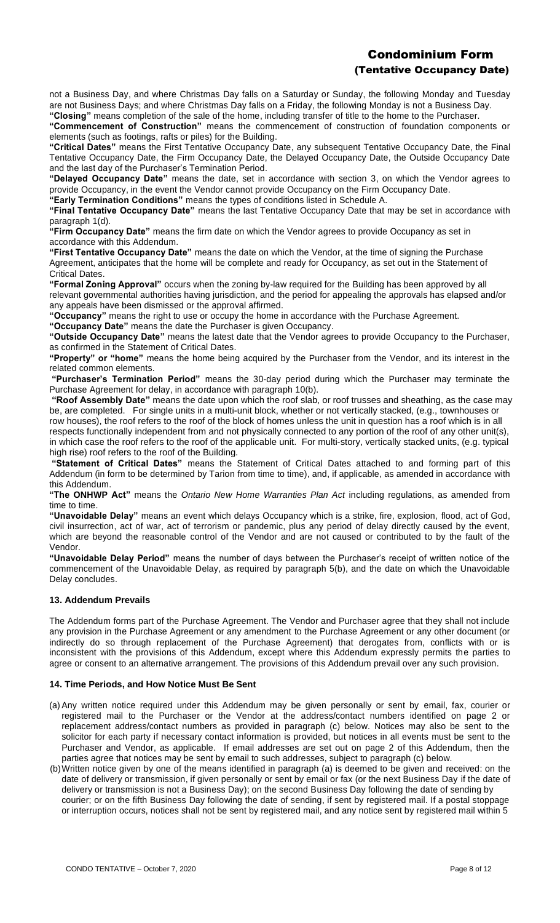# Condominium Form (Tentative Occupancy Date)

not a Business Day, and where Christmas Day falls on a Saturday or Sunday, the following Monday and Tuesday are not Business Days; and where Christmas Day falls on a Friday, the following Monday is not a Business Day.

**"Closing"** means completion of the sale of the home, including transfer of title to the home to the Purchaser.

**"Commencement of Construction"** means the commencement of construction of foundation components or elements (such as footings, rafts or piles) for the Building.

**"Critical Dates"** means the First Tentative Occupancy Date, any subsequent Tentative Occupancy Date, the Final Tentative Occupancy Date, the Firm Occupancy Date, the Delayed Occupancy Date, the Outside Occupancy Date and the last day of the Purchaser's Termination Period.

**"Delayed Occupancy Date"** means the date, set in accordance with section 3, on which the Vendor agrees to provide Occupancy, in the event the Vendor cannot provide Occupancy on the Firm Occupancy Date. **"Early Termination Conditions"** means the types of conditions listed in Schedule A.

**"Final Tentative Occupancy Date"** means the last Tentative Occupancy Date that may be set in accordance with paragraph 1(d).

**"Firm Occupancy Date"** means the firm date on which the Vendor agrees to provide Occupancy as set in accordance with this Addendum.

**"First Tentative Occupancy Date"** means the date on which the Vendor, at the time of signing the Purchase Agreement, anticipates that the home will be complete and ready for Occupancy, as set out in the Statement of Critical Dates.

**"Formal Zoning Approval"** occurs when the zoning by-law required for the Building has been approved by all relevant governmental authorities having jurisdiction, and the period for appealing the approvals has elapsed and/or any appeals have been dismissed or the approval affirmed.

**"Occupancy"** means the right to use or occupy the home in accordance with the Purchase Agreement.

**"Occupancy Date"** means the date the Purchaser is given Occupancy.

**"Outside Occupancy Date"** means the latest date that the Vendor agrees to provide Occupancy to the Purchaser, as confirmed in the Statement of Critical Dates.

**"Property" or "home"** means the home being acquired by the Purchaser from the Vendor, and its interest in the related common elements.

**"Purchaser's Termination Period"** means the 30-day period during which the Purchaser may terminate the Purchase Agreement for delay, in accordance with paragraph 10(b).

**"Roof Assembly Date"** means the date upon which the roof slab, or roof trusses and sheathing, as the case may be, are completed. For single units in a multi-unit block, whether or not vertically stacked, (e.g., townhouses or row houses), the roof refers to the roof of the block of homes unless the unit in question has a roof which is in all

respects functionally independent from and not physically connected to any portion of the roof of any other unit(s), in which case the roof refers to the roof of the applicable unit. For multi-story, vertically stacked units, (e.g. typical high rise) roof refers to the roof of the Building.

**"Statement of Critical Dates"** means the Statement of Critical Dates attached to and forming part of this Addendum (in form to be determined by Tarion from time to time), and, if applicable, as amended in accordance with this Addendum.

**"The ONHWP Act"** means the *Ontario New Home Warranties Plan Act* including regulations, as amended from time to time.

**"Unavoidable Delay"** means an event which delays Occupancy which is a strike, fire, explosion, flood, act of God, civil insurrection, act of war, act of terrorism or pandemic, plus any period of delay directly caused by the event, which are beyond the reasonable control of the Vendor and are not caused or contributed to by the fault of the Vendor.

**"Unavoidable Delay Period"** means the number of days between the Purchaser's receipt of written notice of the commencement of the Unavoidable Delay, as required by paragraph 5(b), and the date on which the Unavoidable Delay concludes.

#### **13. Addendum Prevails**

The Addendum forms part of the Purchase Agreement. The Vendor and Purchaser agree that they shall not include any provision in the Purchase Agreement or any amendment to the Purchase Agreement or any other document (or indirectly do so through replacement of the Purchase Agreement) that derogates from, conflicts with or is inconsistent with the provisions of this Addendum, except where this Addendum expressly permits the parties to agree or consent to an alternative arrangement. The provisions of this Addendum prevail over any such provision.

#### **14. Time Periods, and How Notice Must Be Sent**

- (a) Any written notice required under this Addendum may be given personally or sent by email, fax, courier or registered mail to the Purchaser or the Vendor at the address/contact numbers identified on page 2 or replacement address/contact numbers as provided in paragraph (c) below. Notices may also be sent to the solicitor for each party if necessary contact information is provided, but notices in all events must be sent to the Purchaser and Vendor, as applicable. If email addresses are set out on page 2 of this Addendum, then the parties agree that notices may be sent by email to such addresses, subject to paragraph (c) below.
- (b)Written notice given by one of the means identified in paragraph (a) is deemed to be given and received: on the date of delivery or transmission, if given personally or sent by email or fax (or the next Business Day if the date of delivery or transmission is not a Business Day); on the second Business Day following the date of sending by courier; or on the fifth Business Day following the date of sending, if sent by registered mail. If a postal stoppage or interruption occurs, notices shall not be sent by registered mail, and any notice sent by registered mail within 5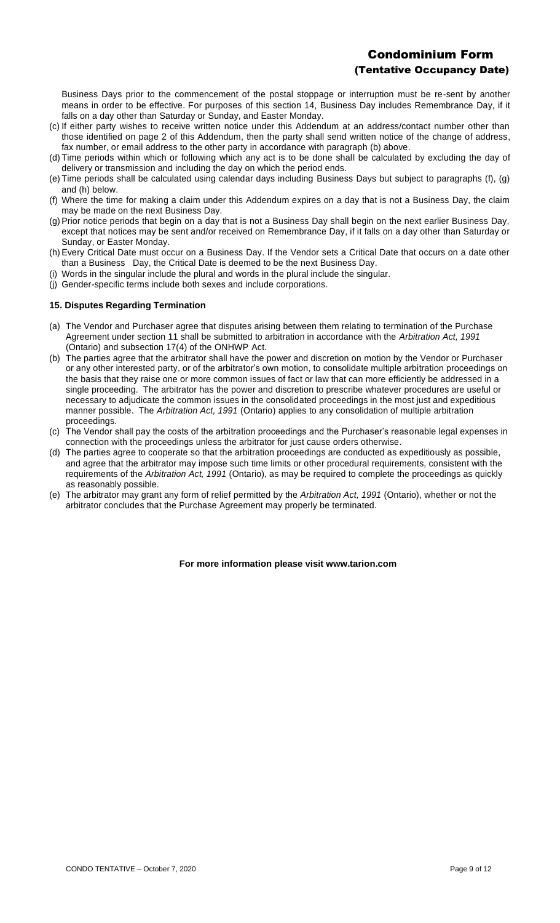Business Days prior to the commencement of the postal stoppage or interruption must be re-sent by another means in order to be effective. For purposes of this section 14, Business Day includes Remembrance Day, if it falls on a day other than Saturday or Sunday, and Easter Monday.

- (c) If either party wishes to receive written notice under this Addendum at an address/contact number other than those identified on page 2 of this Addendum, then the party shall send written notice of the change of address, fax number, or email address to the other party in accordance with paragraph (b) above.
- (d) Time periods within which or following which any act is to be done shall be calculated by excluding the day of delivery or transmission and including the day on which the period ends.
- (e) Time periods shall be calculated using calendar days including Business Days but subject to paragraphs (f), (g) and (h) below.
- (f) Where the time for making a claim under this Addendum expires on a day that is not a Business Day, the claim may be made on the next Business Day.
- (g) Prior notice periods that begin on a day that is not a Business Day shall begin on the next earlier Business Day, except that notices may be sent and/or received on Remembrance Day, if it falls on a day other than Saturday or Sunday, or Easter Monday.
- (h) Every Critical Date must occur on a Business Day. If the Vendor sets a Critical Date that occurs on a date other than a Business Day, the Critical Date is deemed to be the next Business Day.
- (i) Words in the singular include the plural and words in the plural include the singular.
- (j) Gender-specific terms include both sexes and include corporations.

## **15. Disputes Regarding Termination**

- (a) The Vendor and Purchaser agree that disputes arising between them relating to termination of the Purchase Agreement under section 11 shall be submitted to arbitration in accordance with the *Arbitration Act, 1991*  (Ontario) and subsection 17(4) of the ONHWP Act.
- (b) The parties agree that the arbitrator shall have the power and discretion on motion by the Vendor or Purchaser or any other interested party, or of the arbitrator's own motion, to consolidate multiple arbitration proceedings on the basis that they raise one or more common issues of fact or law that can more efficiently be addressed in a single proceeding. The arbitrator has the power and discretion to prescribe whatever procedures are useful or necessary to adjudicate the common issues in the consolidated proceedings in the most just and expeditious manner possible. The *Arbitration Act, 1991* (Ontario) applies to any consolidation of multiple arbitration proceedings.
- (c) The Vendor shall pay the costs of the arbitration proceedings and the Purchaser's reasonable legal expenses in connection with the proceedings unless the arbitrator for just cause orders otherwise.
- (d) The parties agree to cooperate so that the arbitration proceedings are conducted as expeditiously as possible, and agree that the arbitrator may impose such time limits or other procedural requirements, consistent with the requirements of the *Arbitration Act, 1991* (Ontario), as may be required to complete the proceedings as quickly as reasonably possible.
- (e) The arbitrator may grant any form of relief permitted by the *Arbitration Act, 1991* (Ontario), whether or not the arbitrator concludes that the Purchase Agreement may properly be terminated.

#### **For more information please visit www.tarion.com**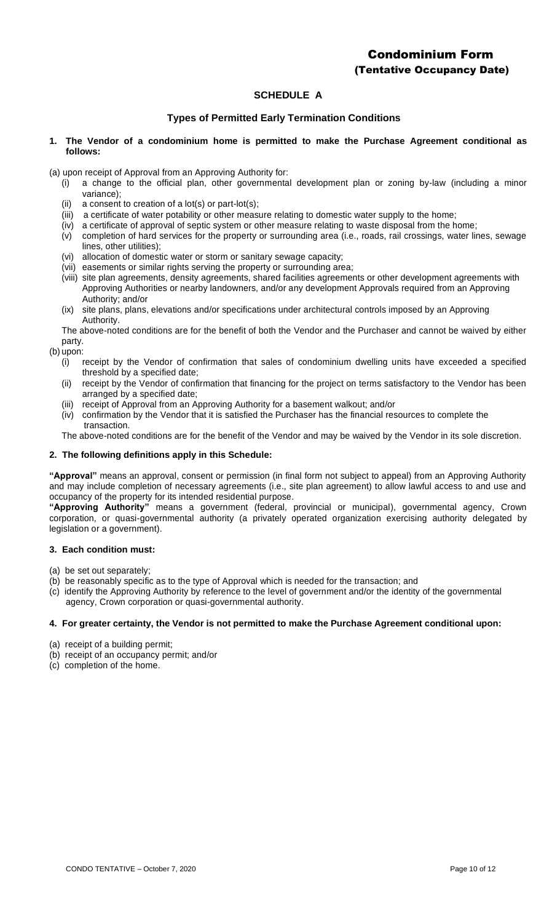# **SCHEDULE A**

## **Types of Permitted Early Termination Conditions**

- **1. The Vendor of a condominium home is permitted to make the Purchase Agreement conditional as follows:**
- (a) upon receipt of Approval from an Approving Authority for:
	- (i) a change to the official plan, other governmental development plan or zoning by-law (including a minor variance);
	- (ii) a consent to creation of a  $\text{lot}(s)$  or part- $\text{lot}(s)$ ;
	- (iii) a certificate of water potability or other measure relating to domestic water supply to the home;
	- (iv) a certificate of approval of septic system or other measure relating to waste disposal from the home;
	- (v) completion of hard services for the property or surrounding area (i.e., roads, rail crossings, water lines, sewage lines, other utilities);
	- (vi) allocation of domestic water or storm or sanitary sewage capacity;
	- (vii) easements or similar rights serving the property or surrounding area;
	- (viii) site plan agreements, density agreements, shared facilities agreements or other development agreements with Approving Authorities or nearby landowners, and/or any development Approvals required from an Approving Authority; and/or
	- (ix) site plans, plans, elevations and/or specifications under architectural controls imposed by an Approving Authority.

The above-noted conditions are for the benefit of both the Vendor and the Purchaser and cannot be waived by either party.

(b) upon:

- (i) receipt by the Vendor of confirmation that sales of condominium dwelling units have exceeded a specified threshold by a specified date;
- (ii) receipt by the Vendor of confirmation that financing for the project on terms satisfactory to the Vendor has been arranged by a specified date;
- (iii) receipt of Approval from an Approving Authority for a basement walkout; and/or
- (iv) confirmation by the Vendor that it is satisfied the Purchaser has the financial resources to complete the transaction.

The above-noted conditions are for the benefit of the Vendor and may be waived by the Vendor in its sole discretion.

#### **2. The following definitions apply in this Schedule:**

**"Approval"** means an approval, consent or permission (in final form not subject to appeal) from an Approving Authority and may include completion of necessary agreements (i.e., site plan agreement) to allow lawful access to and use and occupancy of the property for its intended residential purpose.

**"Approving Authority"** means a government (federal, provincial or municipal), governmental agency, Crown corporation, or quasi-governmental authority (a privately operated organization exercising authority delegated by legislation or a government).

## **3. Each condition must:**

- (a) be set out separately;
- (b) be reasonably specific as to the type of Approval which is needed for the transaction; and
- (c) identify the Approving Authority by reference to the level of government and/or the identity of the governmental agency, Crown corporation or quasi-governmental authority.

## **4. For greater certainty, the Vendor is not permitted to make the Purchase Agreement conditional upon:**

- (a) receipt of a building permit;
- (b) receipt of an occupancy permit; and/or
- (c) completion of the home.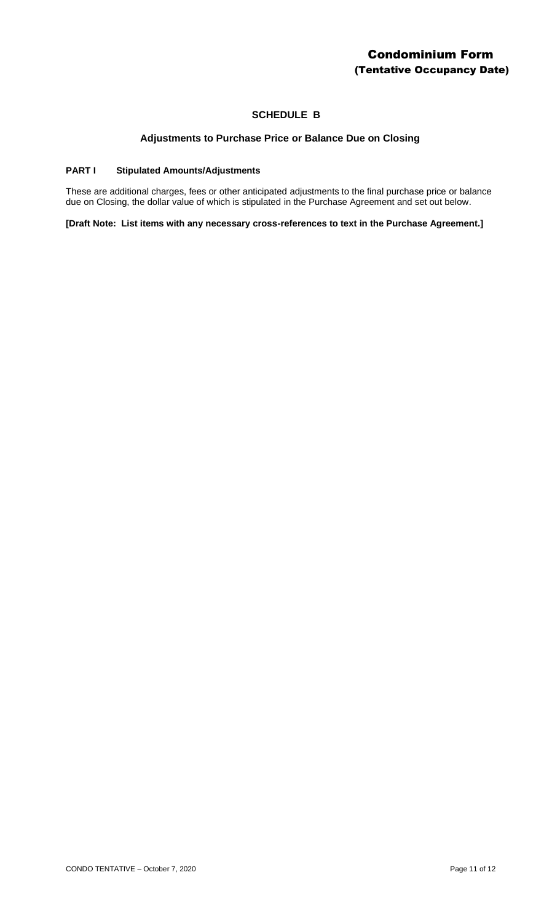## **SCHEDULE B**

## **Adjustments to Purchase Price or Balance Due on Closing**

## **PART I Stipulated Amounts/Adjustments**

These are additional charges, fees or other anticipated adjustments to the final purchase price or balance due on Closing, the dollar value of which is stipulated in the Purchase Agreement and set out below.

**[Draft Note: List items with any necessary cross-references to text in the Purchase Agreement.]**